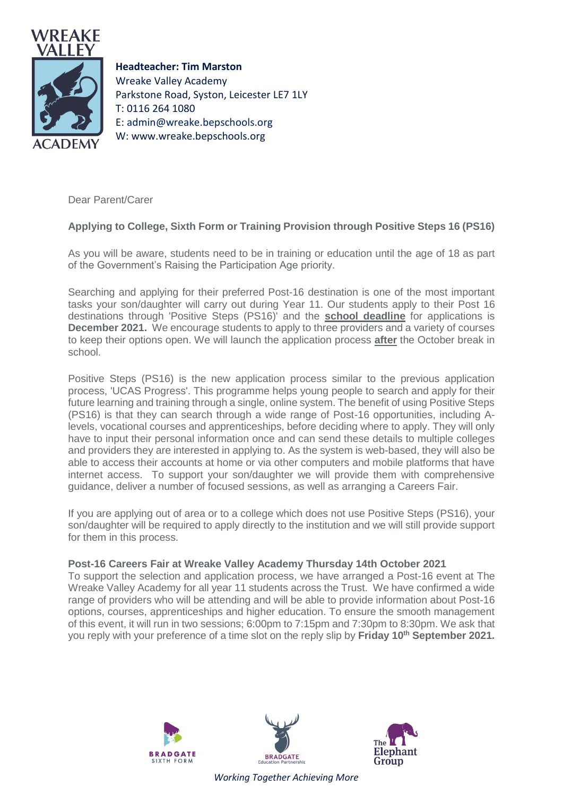

**Headteacher: Tim Marston** Wreake Valley Academy Parkstone Road, Syston, Leicester LE7 1LY T: 0116 264 1080 E: [admin@wreake.bepschools.org](mailto:admin@wreake.bepschools.org) W: www.wreake.bepschools.org

Dear Parent/Carer

## **Applying to College, Sixth Form or Training Provision through Positive Steps 16 (PS16)**

As you will be aware, students need to be in training or education until the age of 18 as part of the Government's Raising the Participation Age priority.

Searching and applying for their preferred Post-16 destination is one of the most important tasks your son/daughter will carry out during Year 11. Our students apply to their Post 16 destinations through 'Positive Steps (PS16)' and the **school deadline** for applications is **December 2021.** We encourage students to apply to three providers and a variety of courses to keep their options open. We will launch the application process **after** the October break in school.

Positive Steps (PS16) is the new application process similar to the previous application process, 'UCAS Progress'. This programme helps young people to search and apply for their future learning and training through a single, online system. The benefit of using Positive Steps (PS16) is that they can search through a wide range of Post-16 opportunities, including Alevels, vocational courses and apprenticeships, before deciding where to apply. They will only have to input their personal information once and can send these details to multiple colleges and providers they are interested in applying to. As the system is web-based, they will also be able to access their accounts at home or via other computers and mobile platforms that have internet access. To support your son/daughter we will provide them with comprehensive guidance, deliver a number of focused sessions, as well as arranging a Careers Fair.

If you are applying out of area or to a college which does not use Positive Steps (PS16), your son/daughter will be required to apply directly to the institution and we will still provide support for them in this process.

## **Post-16 Careers Fair at Wreake Valley Academy Thursday 14th October 2021**

To support the selection and application process, we have arranged a Post-16 event at The Wreake Valley Academy for all year 11 students across the Trust. We have confirmed a wide range of providers who will be attending and will be able to provide information about Post-16 options, courses, apprenticeships and higher education. To ensure the smooth management of this event, it will run in two sessions; 6:00pm to 7:15pm and 7:30pm to 8:30pm. We ask that you reply with your preference of a time slot on the reply slip by **Friday 10th September 2021.**







*Working Together Achieving More*